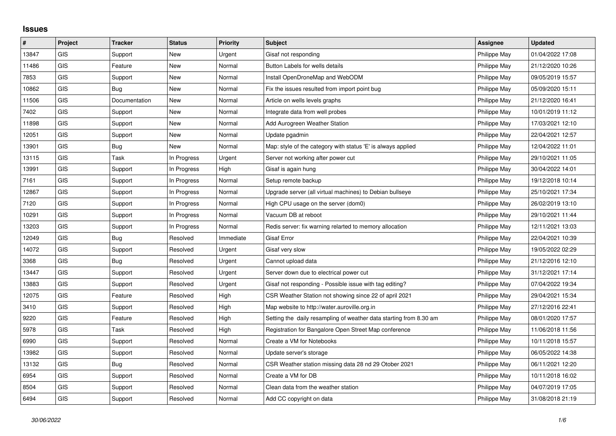## **Issues**

| $\vert$ # | Project    | <b>Tracker</b> | <b>Status</b> | <b>Priority</b> | <b>Subject</b>                                                     | Assignee     | <b>Updated</b>   |
|-----------|------------|----------------|---------------|-----------------|--------------------------------------------------------------------|--------------|------------------|
| 13847     | GIS        | Support        | <b>New</b>    | Urgent          | Gisaf not responding                                               | Philippe May | 01/04/2022 17:08 |
| 11486     | GIS        | Feature        | <b>New</b>    | Normal          | Button Labels for wells details                                    | Philippe May | 21/12/2020 10:26 |
| 7853      | <b>GIS</b> | Support        | New           | Normal          | Install OpenDroneMap and WebODM                                    | Philippe May | 09/05/2019 15:57 |
| 10862     | <b>GIS</b> | Bug            | <b>New</b>    | Normal          | Fix the issues resulted from import point bug                      | Philippe May | 05/09/2020 15:11 |
| 11506     | GIS        | Documentation  | <b>New</b>    | Normal          | Article on wells levels graphs                                     | Philippe May | 21/12/2020 16:41 |
| 7402      | <b>GIS</b> | Support        | New           | Normal          | Integrate data from well probes                                    | Philippe May | 10/01/2019 11:12 |
| 11898     | <b>GIS</b> | Support        | <b>New</b>    | Normal          | Add Aurogreen Weather Station                                      | Philippe May | 17/03/2021 12:10 |
| 12051     | <b>GIS</b> | Support        | New           | Normal          | Update pgadmin                                                     | Philippe May | 22/04/2021 12:57 |
| 13901     | GIS        | Bug            | <b>New</b>    | Normal          | Map: style of the category with status 'E' is always applied       | Philippe May | 12/04/2022 11:01 |
| 13115     | <b>GIS</b> | Task           | In Progress   | Urgent          | Server not working after power cut                                 | Philippe May | 29/10/2021 11:05 |
| 13991     | <b>GIS</b> | Support        | In Progress   | High            | Gisaf is again hung                                                | Philippe May | 30/04/2022 14:01 |
| 7161      | <b>GIS</b> | Support        | In Progress   | Normal          | Setup remote backup                                                | Philippe May | 19/12/2018 10:14 |
| 12867     | GIS        | Support        | In Progress   | Normal          | Upgrade server (all virtual machines) to Debian bullseye           | Philippe May | 25/10/2021 17:34 |
| 7120      | <b>GIS</b> | Support        | In Progress   | Normal          | High CPU usage on the server (dom0)                                | Philippe May | 26/02/2019 13:10 |
| 10291     | GIS        | Support        | In Progress   | Normal          | Vacuum DB at reboot                                                | Philippe May | 29/10/2021 11:44 |
| 13203     | GIS        | Support        | In Progress   | Normal          | Redis server: fix warning relarted to memory allocation            | Philippe May | 12/11/2021 13:03 |
| 12049     | <b>GIS</b> | Bug            | Resolved      | Immediate       | <b>Gisaf Error</b>                                                 | Philippe May | 22/04/2021 10:39 |
| 14072     | GIS        | Support        | Resolved      | Urgent          | Gisaf very slow                                                    | Philippe May | 19/05/2022 02:29 |
| 3368      | <b>GIS</b> | Bug            | Resolved      | Urgent          | Cannot upload data                                                 | Philippe May | 21/12/2016 12:10 |
| 13447     | <b>GIS</b> | Support        | Resolved      | Urgent          | Server down due to electrical power cut                            | Philippe May | 31/12/2021 17:14 |
| 13883     | GIS        | Support        | Resolved      | Urgent          | Gisaf not responding - Possible issue with tag editing?            | Philippe May | 07/04/2022 19:34 |
| 12075     | <b>GIS</b> | Feature        | Resolved      | High            | CSR Weather Station not showing since 22 of april 2021             | Philippe May | 29/04/2021 15:34 |
| 3410      | <b>GIS</b> | Support        | Resolved      | High            | Map website to http://water.auroville.org.in                       | Philippe May | 27/12/2016 22:41 |
| 9220      | <b>GIS</b> | Feature        | Resolved      | High            | Setting the daily resampling of weather data starting from 8.30 am | Philippe May | 08/01/2020 17:57 |
| 5978      | <b>GIS</b> | Task           | Resolved      | High            | Registration for Bangalore Open Street Map conference              | Philippe May | 11/06/2018 11:56 |
| 6990      | GIS        | Support        | Resolved      | Normal          | Create a VM for Notebooks                                          | Philippe May | 10/11/2018 15:57 |
| 13982     | <b>GIS</b> | Support        | Resolved      | Normal          | Update server's storage                                            | Philippe May | 06/05/2022 14:38 |
| 13132     | GIS        | Bug            | Resolved      | Normal          | CSR Weather station missing data 28 nd 29 Otober 2021              | Philippe May | 06/11/2021 12:20 |
| 6954      | <b>GIS</b> | Support        | Resolved      | Normal          | Create a VM for DB                                                 | Philippe May | 10/11/2018 16:02 |
| 8504      | GIS        | Support        | Resolved      | Normal          | Clean data from the weather station                                | Philippe May | 04/07/2019 17:05 |
| 6494      | GIS        | Support        | Resolved      | Normal          | Add CC copyright on data                                           | Philippe May | 31/08/2018 21:19 |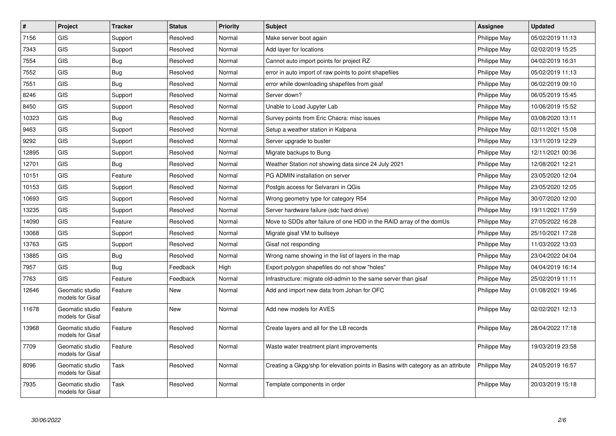| $\sharp$ | Project                             | <b>Tracker</b> | <b>Status</b> | <b>Priority</b> | <b>Subject</b>                                                                   | <b>Assignee</b> | <b>Updated</b>   |
|----------|-------------------------------------|----------------|---------------|-----------------|----------------------------------------------------------------------------------|-----------------|------------------|
| 7156     | <b>GIS</b>                          | Support        | Resolved      | Normal          | Make server boot again                                                           | Philippe May    | 05/02/2019 11:13 |
| 7343     | <b>GIS</b>                          | Support        | Resolved      | Normal          | Add layer for locations                                                          | Philippe May    | 02/02/2019 15:25 |
| 7554     | <b>GIS</b>                          | Bug            | Resolved      | Normal          | Cannot auto import points for project RZ                                         | Philippe May    | 04/02/2019 16:31 |
| 7552     | GIS                                 | Bug            | Resolved      | Normal          | error in auto import of raw points to point shapefiles                           | Philippe May    | 05/02/2019 11:13 |
| 7551     | <b>GIS</b>                          | <b>Bug</b>     | Resolved      | Normal          | error while downloading shapefiles from gisaf                                    | Philippe May    | 06/02/2019 09:10 |
| 8246     | <b>GIS</b>                          | Support        | Resolved      | Normal          | Server down?                                                                     | Philippe May    | 06/05/2019 15:45 |
| 8450     | <b>GIS</b>                          | Support        | Resolved      | Normal          | Unable to Load Jupyter Lab                                                       | Philippe May    | 10/06/2019 15:52 |
| 10323    | GIS                                 | Bug            | Resolved      | Normal          | Survey points from Eric Chacra: misc issues                                      | Philippe May    | 03/08/2020 13:11 |
| 9463     | <b>GIS</b>                          | Support        | Resolved      | Normal          | Setup a weather station in Kalpana                                               | Philippe May    | 02/11/2021 15:08 |
| 9292     | <b>GIS</b>                          | Support        | Resolved      | Normal          | Server upgrade to buster                                                         | Philippe May    | 13/11/2019 12:29 |
| 12895    | <b>GIS</b>                          | Support        | Resolved      | Normal          | Migrate backups to Bung                                                          | Philippe May    | 12/11/2021 00:36 |
| 12701    | GIS                                 | Bug            | Resolved      | Normal          | Weather Station not showing data since 24 July 2021                              | Philippe May    | 12/08/2021 12:21 |
| 10151    | <b>GIS</b>                          | Feature        | Resolved      | Normal          | PG ADMIN installation on server                                                  | Philippe May    | 23/05/2020 12:04 |
| 10153    | GIS                                 | Support        | Resolved      | Normal          | Postgis access for Selvarani in QGis                                             | Philippe May    | 23/05/2020 12:05 |
| 10693    | <b>GIS</b>                          | Support        | Resolved      | Normal          | Wrong geometry type for category R54                                             | Philippe May    | 30/07/2020 12:00 |
| 13235    | GIS                                 | Support        | Resolved      | Normal          | Server hardware failure (sdc hard drive)                                         | Philippe May    | 19/11/2021 17:59 |
| 14090    | <b>GIS</b>                          | Feature        | Resolved      | Normal          | Move to SDDs after failure of one HDD in the RAID array of the domUs             | Philippe May    | 27/05/2022 16:28 |
| 13068    | <b>GIS</b>                          | Support        | Resolved      | Normal          | Migrate gisaf VM to bullseye                                                     | Philippe May    | 25/10/2021 17:28 |
| 13763    | <b>GIS</b>                          | Support        | Resolved      | Normal          | Gisaf not responding                                                             | Philippe May    | 11/03/2022 13:03 |
| 13885    | <b>GIS</b>                          | <b>Bug</b>     | Resolved      | Normal          | Wrong name showing in the list of layers in the map                              | Philippe May    | 23/04/2022 04:04 |
| 7957     | <b>GIS</b>                          | <b>Bug</b>     | Feedback      | High            | Export polygon shapefiles do not show "holes"                                    | Philippe May    | 04/04/2019 16:14 |
| 7763     | <b>GIS</b>                          | Feature        | Feedback      | Normal          | Infrastructure: migrate old-admin to the same server than gisaf                  | Philippe May    | 25/02/2019 11:11 |
| 12646    | Geomatic studio<br>models for Gisaf | Feature        | New           | Normal          | Add and import new data from Johan for OFC                                       | Philippe May    | 01/08/2021 19:46 |
| 11678    | Geomatic studio<br>models for Gisaf | Feature        | New           | Normal          | Add new models for AVES                                                          | Philippe May    | 02/02/2021 12:13 |
| 13968    | Geomatic studio<br>models for Gisaf | Feature        | Resolved      | Normal          | Create layers and all for the LB records                                         | Philippe May    | 28/04/2022 17:18 |
| 7709     | Geomatic studio<br>models for Gisaf | Feature        | Resolved      | Normal          | Waste water treatment plant improvements                                         | Philippe May    | 19/03/2019 23:58 |
| 8096     | Geomatic studio<br>models for Gisaf | Task           | Resolved      | Normal          | Creating a Gkpg/shp for elevation points in Basins with category as an attribute | Philippe May    | 24/05/2019 16:57 |
| 7935     | Geomatic studio<br>models for Gisaf | Task           | Resolved      | Normal          | Template components in order                                                     | Philippe May    | 20/03/2019 15:18 |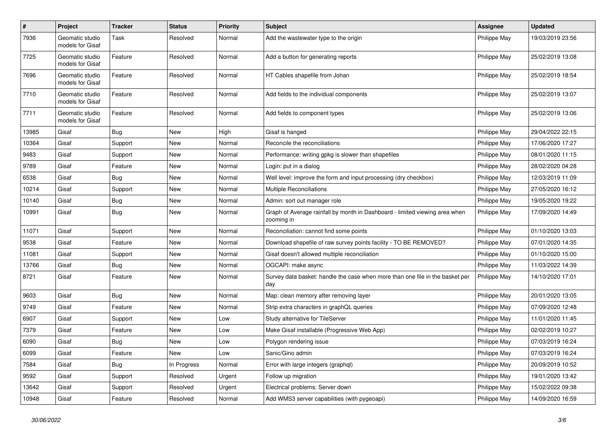| $\sharp$ | Project                             | <b>Tracker</b> | <b>Status</b> | <b>Priority</b> | Subject                                                                                   | <b>Assignee</b> | <b>Updated</b>   |
|----------|-------------------------------------|----------------|---------------|-----------------|-------------------------------------------------------------------------------------------|-----------------|------------------|
| 7936     | Geomatic studio<br>models for Gisaf | Task           | Resolved      | Normal          | Add the wastewater type to the origin                                                     | Philippe May    | 19/03/2019 23:56 |
| 7725     | Geomatic studio<br>models for Gisaf | Feature        | Resolved      | Normal          | Add a button for generating reports                                                       | Philippe May    | 25/02/2019 13:08 |
| 7696     | Geomatic studio<br>models for Gisaf | Feature        | Resolved      | Normal          | HT Cables shapefile from Johan                                                            | Philippe May    | 25/02/2019 18:54 |
| 7710     | Geomatic studio<br>models for Gisaf | Feature        | Resolved      | Normal          | Add fields to the individual components                                                   | Philippe May    | 25/02/2019 13:07 |
| 7711     | Geomatic studio<br>models for Gisaf | Feature        | Resolved      | Normal          | Add fields to component types                                                             | Philippe May    | 25/02/2019 13:06 |
| 13985    | Gisaf                               | Bug            | New           | High            | Gisaf is hanged                                                                           | Philippe May    | 29/04/2022 22:15 |
| 10364    | Gisaf                               | Support        | New           | Normal          | Reconcile the reconciliations                                                             | Philippe May    | 17/06/2020 17:27 |
| 9483     | Gisaf                               | Support        | New           | Normal          | Performance: writing gpkg is slower than shapefiles                                       | Philippe May    | 08/01/2020 11:15 |
| 9789     | Gisaf                               | Feature        | New           | Normal          | Login: put in a dialog                                                                    | Philippe May    | 28/02/2020 04:28 |
| 6538     | Gisaf                               | <b>Bug</b>     | New           | Normal          | Well level: improve the form and input processing (dry checkbox)                          | Philippe May    | 12/03/2019 11:09 |
| 10214    | Gisaf                               | Support        | New           | Normal          | <b>Multiple Reconciliations</b>                                                           | Philippe May    | 27/05/2020 16:12 |
| 10140    | Gisaf                               | <b>Bug</b>     | New           | Normal          | Admin: sort out manager role                                                              | Philippe May    | 19/05/2020 19:22 |
| 10991    | Gisaf                               | <b>Bug</b>     | New           | Normal          | Graph of Average rainfall by month in Dashboard - limited viewing area when<br>zooming in | Philippe May    | 17/09/2020 14:49 |
| 11071    | Gisaf                               | Support        | New           | Normal          | Reconciliation: cannot find some points                                                   | Philippe May    | 01/10/2020 13:03 |
| 9538     | Gisaf                               | Feature        | New           | Normal          | Download shapefile of raw survey points facility - TO BE REMOVED?                         | Philippe May    | 07/01/2020 14:35 |
| 11081    | Gisaf                               | Support        | New           | Normal          | Gisaf doesn't allowed multiple reconciliation                                             | Philippe May    | 01/10/2020 15:00 |
| 13766    | Gisaf                               | <b>Bug</b>     | New           | Normal          | OGCAPI: make async                                                                        | Philippe May    | 11/03/2022 14:39 |
| 8721     | Gisaf                               | Feature        | New           | Normal          | Survey data basket: handle the case when more than one file in the basket per<br>day      | Philippe May    | 14/10/2020 17:01 |
| 9603     | Gisaf                               | <b>Bug</b>     | New           | Normal          | Map: clean memory after removing layer                                                    | Philippe May    | 20/01/2020 13:05 |
| 9749     | Gisaf                               | Feature        | New           | Normal          | Strip extra characters in graphQL queries                                                 | Philippe May    | 07/09/2020 12:48 |
| 6907     | Gisaf                               | Support        | New           | Low             | Study alternative for TileServer                                                          | Philippe May    | 11/01/2020 11:45 |
| 7379     | Gisaf                               | Feature        | New           | Low             | Make Gisaf installable (Progressive Web App)                                              | Philippe May    | 02/02/2019 10:27 |
| 6090     | Gisaf                               | <b>Bug</b>     | New           | Low             | Polygon rendering issue                                                                   | Philippe May    | 07/03/2019 16:24 |
| 6099     | Gisaf                               | Feature        | New           | Low             | Sanic/Gino admin                                                                          | Philippe May    | 07/03/2019 16:24 |
| 7584     | Gisaf                               | Bug            | In Progress   | Normal          | Error with large integers (graphql)                                                       | Philippe May    | 20/09/2019 10:52 |
| 9592     | Gisaf                               | Support        | Resolved      | Urgent          | Follow up migration                                                                       | Philippe May    | 19/01/2020 13:42 |
| 13642    | Gisaf                               | Support        | Resolved      | Urgent          | Electrical problems: Server down                                                          | Philippe May    | 15/02/2022 09:38 |
| 10948    | Gisaf                               | Feature        | Resolved      | Normal          | Add WMS3 server capabilities (with pygeoapi)                                              | Philippe May    | 14/09/2020 16:59 |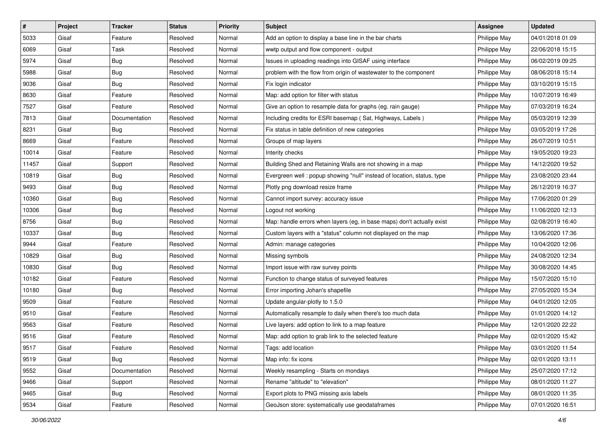| #     | Project | <b>Tracker</b> | <b>Status</b> | <b>Priority</b> | <b>Subject</b>                                                         | <b>Assignee</b> | <b>Updated</b>   |
|-------|---------|----------------|---------------|-----------------|------------------------------------------------------------------------|-----------------|------------------|
| 5033  | Gisaf   | Feature        | Resolved      | Normal          | Add an option to display a base line in the bar charts                 | Philippe May    | 04/01/2018 01:09 |
| 6069  | Gisaf   | Task           | Resolved      | Normal          | wwtp output and flow component - output                                | Philippe May    | 22/06/2018 15:15 |
| 5974  | Gisaf   | <b>Bug</b>     | Resolved      | Normal          | Issues in uploading readings into GISAF using interface                | Philippe May    | 06/02/2019 09:25 |
| 5988  | Gisaf   | <b>Bug</b>     | Resolved      | Normal          | problem with the flow from origin of wastewater to the component       | Philippe May    | 08/06/2018 15:14 |
| 9036  | Gisaf   | <b>Bug</b>     | Resolved      | Normal          | Fix login indicator                                                    | Philippe May    | 03/10/2019 15:15 |
| 8630  | Gisaf   | Feature        | Resolved      | Normal          | Map: add option for filter with status                                 | Philippe May    | 10/07/2019 16:49 |
| 7527  | Gisaf   | Feature        | Resolved      | Normal          | Give an option to resample data for graphs (eg. rain gauge)            | Philippe May    | 07/03/2019 16:24 |
| 7813  | Gisaf   | Documentation  | Resolved      | Normal          | Including credits for ESRI basemap (Sat, Highways, Labels)             | Philippe May    | 05/03/2019 12:39 |
| 8231  | Gisaf   | <b>Bug</b>     | Resolved      | Normal          | Fix status in table definition of new categories                       | Philippe May    | 03/05/2019 17:26 |
| 8669  | Gisaf   | Feature        | Resolved      | Normal          | Groups of map layers                                                   | Philippe May    | 26/07/2019 10:51 |
| 10014 | Gisaf   | Feature        | Resolved      | Normal          | Interity checks                                                        | Philippe May    | 19/05/2020 19:23 |
| 11457 | Gisaf   | Support        | Resolved      | Normal          | Building Shed and Retaining Walls are not showing in a map             | Philippe May    | 14/12/2020 19:52 |
| 10819 | Gisaf   | <b>Bug</b>     | Resolved      | Normal          | Evergreen well: popup showing "null" instead of location, status, type | Philippe May    | 23/08/2020 23:44 |
| 9493  | Gisaf   | <b>Bug</b>     | Resolved      | Normal          | Plotly png download resize frame                                       | Philippe May    | 26/12/2019 16:37 |
| 10360 | Gisaf   | <b>Bug</b>     | Resolved      | Normal          | Cannot import survey: accuracy issue                                   | Philippe May    | 17/06/2020 01:29 |
| 10306 | Gisaf   | <b>Bug</b>     | Resolved      | Normal          | Logout not working                                                     | Philippe May    | 11/06/2020 12:13 |
| 8756  | Gisaf   | <b>Bug</b>     | Resolved      | Normal          | Map: handle errors when layers (eg, in base maps) don't actually exist | Philippe May    | 02/08/2019 16:40 |
| 10337 | Gisaf   | <b>Bug</b>     | Resolved      | Normal          | Custom layers with a "status" column not displayed on the map          | Philippe May    | 13/06/2020 17:36 |
| 9944  | Gisaf   | Feature        | Resolved      | Normal          | Admin: manage categories                                               | Philippe May    | 10/04/2020 12:06 |
| 10829 | Gisaf   | <b>Bug</b>     | Resolved      | Normal          | Missing symbols                                                        | Philippe May    | 24/08/2020 12:34 |
| 10830 | Gisaf   | <b>Bug</b>     | Resolved      | Normal          | Import issue with raw survey points                                    | Philippe May    | 30/08/2020 14:45 |
| 10182 | Gisaf   | Feature        | Resolved      | Normal          | Function to change status of surveyed features                         | Philippe May    | 15/07/2020 15:10 |
| 10180 | Gisaf   | <b>Bug</b>     | Resolved      | Normal          | Error importing Johan's shapefile                                      | Philippe May    | 27/05/2020 15:34 |
| 9509  | Gisaf   | Feature        | Resolved      | Normal          | Update angular-plotly to 1.5.0                                         | Philippe May    | 04/01/2020 12:05 |
| 9510  | Gisaf   | Feature        | Resolved      | Normal          | Automatically resample to daily when there's too much data             | Philippe May    | 01/01/2020 14:12 |
| 9563  | Gisaf   | Feature        | Resolved      | Normal          | Live layers: add option to link to a map feature                       | Philippe May    | 12/01/2020 22:22 |
| 9516  | Gisaf   | Feature        | Resolved      | Normal          | Map: add option to grab link to the selected feature                   | Philippe May    | 02/01/2020 15:42 |
| 9517  | Gisaf   | Feature        | Resolved      | Normal          | Tags: add location                                                     | Philippe May    | 03/01/2020 11:54 |
| 9519  | Gisaf   | Bug            | Resolved      | Normal          | Map info: fix icons                                                    | Philippe May    | 02/01/2020 13:11 |
| 9552  | Gisaf   | Documentation  | Resolved      | Normal          | Weekly resampling - Starts on mondays                                  | Philippe May    | 25/07/2020 17:12 |
| 9466  | Gisaf   | Support        | Resolved      | Normal          | Rename "altitude" to "elevation"                                       | Philippe May    | 08/01/2020 11:27 |
| 9465  | Gisaf   | <b>Bug</b>     | Resolved      | Normal          | Export plots to PNG missing axis labels                                | Philippe May    | 08/01/2020 11:35 |
| 9534  | Gisaf   | Feature        | Resolved      | Normal          | GeoJson store: systematically use geodataframes                        | Philippe May    | 07/01/2020 16:51 |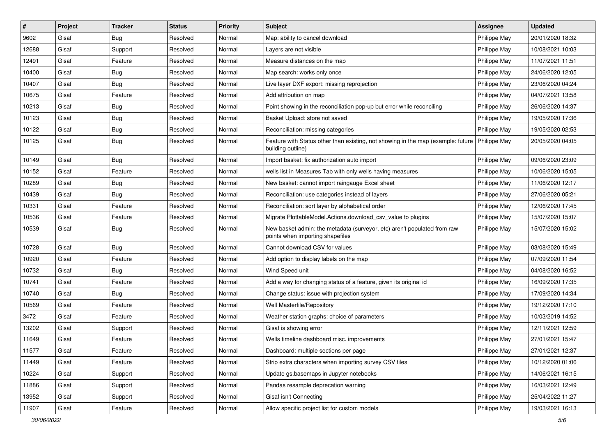| $\pmb{\#}$ | Project | <b>Tracker</b> | <b>Status</b> | <b>Priority</b> | Subject                                                                                                              | <b>Assignee</b> | <b>Updated</b>   |
|------------|---------|----------------|---------------|-----------------|----------------------------------------------------------------------------------------------------------------------|-----------------|------------------|
| 9602       | Gisaf   | <b>Bug</b>     | Resolved      | Normal          | Map: ability to cancel download                                                                                      | Philippe May    | 20/01/2020 18:32 |
| 12688      | Gisaf   | Support        | Resolved      | Normal          | Layers are not visible                                                                                               | Philippe May    | 10/08/2021 10:03 |
| 12491      | Gisaf   | Feature        | Resolved      | Normal          | Measure distances on the map                                                                                         | Philippe May    | 11/07/2021 11:51 |
| 10400      | Gisaf   | <b>Bug</b>     | Resolved      | Normal          | Map search: works only once                                                                                          | Philippe May    | 24/06/2020 12:05 |
| 10407      | Gisaf   | Bug            | Resolved      | Normal          | Live layer DXF export: missing reprojection                                                                          | Philippe May    | 23/06/2020 04:24 |
| 10675      | Gisaf   | Feature        | Resolved      | Normal          | Add attribution on map                                                                                               | Philippe May    | 04/07/2021 13:58 |
| 10213      | Gisaf   | <b>Bug</b>     | Resolved      | Normal          | Point showing in the reconciliation pop-up but error while reconciling                                               | Philippe May    | 26/06/2020 14:37 |
| 10123      | Gisaf   | <b>Bug</b>     | Resolved      | Normal          | Basket Upload: store not saved                                                                                       | Philippe May    | 19/05/2020 17:36 |
| 10122      | Gisaf   | <b>Bug</b>     | Resolved      | Normal          | Reconciliation: missing categories                                                                                   | Philippe May    | 19/05/2020 02:53 |
| 10125      | Gisaf   | Bug            | Resolved      | Normal          | Feature with Status other than existing, not showing in the map (example: future   Philippe May<br>building outline) |                 | 20/05/2020 04:05 |
| 10149      | Gisaf   | <b>Bug</b>     | Resolved      | Normal          | Import basket: fix authorization auto import                                                                         | Philippe May    | 09/06/2020 23:09 |
| 10152      | Gisaf   | Feature        | Resolved      | Normal          | wells list in Measures Tab with only wells having measures                                                           | Philippe May    | 10/06/2020 15:05 |
| 10289      | Gisaf   | <b>Bug</b>     | Resolved      | Normal          | New basket: cannot import raingauge Excel sheet                                                                      | Philippe May    | 11/06/2020 12:17 |
| 10439      | Gisaf   | <b>Bug</b>     | Resolved      | Normal          | Reconciliation: use categories instead of layers                                                                     | Philippe May    | 27/06/2020 05:21 |
| 10331      | Gisaf   | Feature        | Resolved      | Normal          | Reconciliation: sort layer by alphabetical order                                                                     | Philippe May    | 12/06/2020 17:45 |
| 10536      | Gisaf   | Feature        | Resolved      | Normal          | Migrate PlottableModel.Actions.download csv value to plugins                                                         | Philippe May    | 15/07/2020 15:07 |
| 10539      | Gisaf   | Bug            | Resolved      | Normal          | New basket admin: the metadata (surveyor, etc) aren't populated from raw<br>points when importing shapefiles         | Philippe May    | 15/07/2020 15:02 |
| 10728      | Gisaf   | <b>Bug</b>     | Resolved      | Normal          | Cannot download CSV for values                                                                                       | Philippe May    | 03/08/2020 15:49 |
| 10920      | Gisaf   | Feature        | Resolved      | Normal          | Add option to display labels on the map                                                                              | Philippe May    | 07/09/2020 11:54 |
| 10732      | Gisaf   | <b>Bug</b>     | Resolved      | Normal          | Wind Speed unit                                                                                                      | Philippe May    | 04/08/2020 16:52 |
| 10741      | Gisaf   | Feature        | Resolved      | Normal          | Add a way for changing status of a feature, given its original id                                                    | Philippe May    | 16/09/2020 17:35 |
| 10740      | Gisaf   | <b>Bug</b>     | Resolved      | Normal          | Change status: issue with projection system                                                                          | Philippe May    | 17/09/2020 14:34 |
| 10569      | Gisaf   | Feature        | Resolved      | Normal          | Well Masterfile/Repository                                                                                           | Philippe May    | 19/12/2020 17:10 |
| 3472       | Gisaf   | Feature        | Resolved      | Normal          | Weather station graphs: choice of parameters                                                                         | Philippe May    | 10/03/2019 14:52 |
| 13202      | Gisaf   | Support        | Resolved      | Normal          | Gisaf is showing error                                                                                               | Philippe May    | 12/11/2021 12:59 |
| 11649      | Gisaf   | Feature        | Resolved      | Normal          | Wells timeline dashboard misc. improvements                                                                          | Philippe May    | 27/01/2021 15:47 |
| 11577      | Gisaf   | Feature        | Resolved      | Normal          | Dashboard: multiple sections per page                                                                                | Philippe May    | 27/01/2021 12:37 |
| 11449      | Gisaf   | Feature        | Resolved      | Normal          | Strip extra characters when importing survey CSV files                                                               | Philippe May    | 10/12/2020 01:06 |
| 10224      | Gisaf   | Support        | Resolved      | Normal          | Update gs.basemaps in Jupyter notebooks                                                                              | Philippe May    | 14/06/2021 16:15 |
| 11886      | Gisaf   | Support        | Resolved      | Normal          | Pandas resample deprecation warning                                                                                  | Philippe May    | 16/03/2021 12:49 |
| 13952      | Gisaf   | Support        | Resolved      | Normal          | Gisaf isn't Connecting                                                                                               | Philippe May    | 25/04/2022 11:27 |
| 11907      | Gisaf   | Feature        | Resolved      | Normal          | Allow specific project list for custom models                                                                        | Philippe May    | 19/03/2021 16:13 |